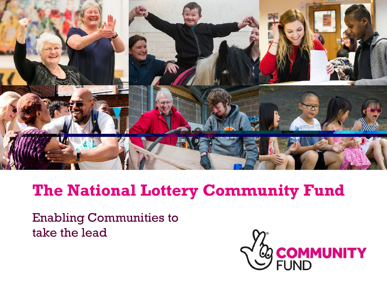

## **The National Lottery Community Fund**

Enabling Communities to take the lead

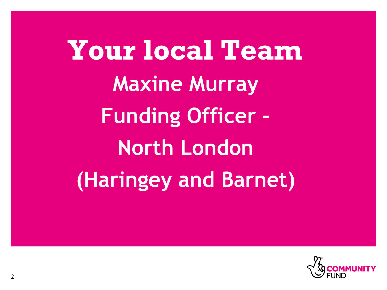**Your local Team Maxine Murray Funding Officer – North London (Haringey and Barnet)**

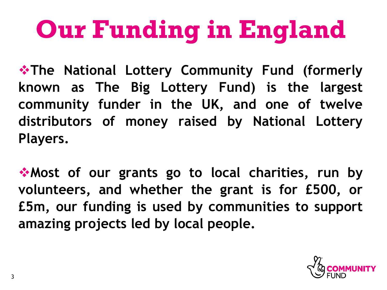# **Our Funding in England**

❖**The National Lottery Community Fund (formerly known as The Big Lottery Fund) is the largest community funder in the UK, and one of twelve distributors of money raised by National Lottery Players.**

❖**Most of our grants go to local charities, run by volunteers, and whether the grant is for £500, or £5m, our funding is used by communities to support amazing projects led by local people.**

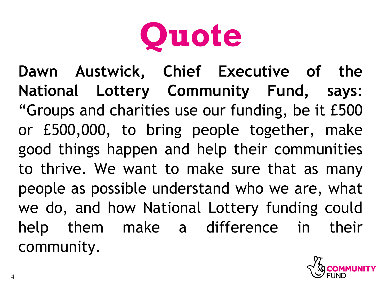

**Dawn Austwick, Chief Executive of the National Lottery Community Fund, says**: "Groups and charities use our funding, be it £500 or £500,000, to bring people together, make good things happen and help their communities to thrive. We want to make sure that as many people as possible understand who we are, what we do, and how National Lottery funding could help them make a difference in their community.

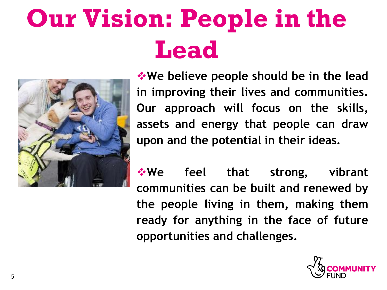# **Our Vision: People in the Lead**



❖**We believe people should be in the lead in improving their lives and communities. Our approach will focus on the skills, assets and energy that people can draw upon and the potential in their ideas.**

❖**We feel that strong, vibrant communities can be built and renewed by the people living in them, making them ready for anything in the face of future opportunities and challenges.**

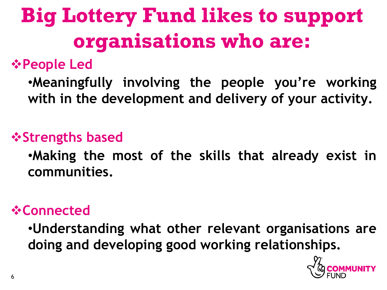## **Big Lottery Fund likes to support organisations who are:**

## ❖**People Led**

•**Meaningfully involving the people you're working with in the development and delivery of your activity.**

## ❖**Strengths based**

•**Making the most of the skills that already exist in communities.**

### ❖**Connected**

•**Understanding what other relevant organisations are doing and developing good working relationships.**

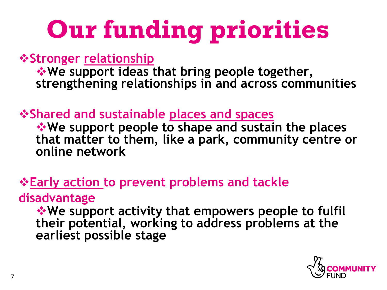# **Our funding priorities**

❖**Stronger relationship**

❖**We support ideas that bring people together, strengthening relationships in and across communities**

❖**Shared and sustainable places and spaces**

❖**We support people to shape and sustain the places that matter to them, like a park, community centre or online network**

### ❖**Early action to prevent problems and tackle**

#### **disadvantage**

❖**We support activity that empowers people to fulfil their potential, working to address problems at the earliest possible stage**

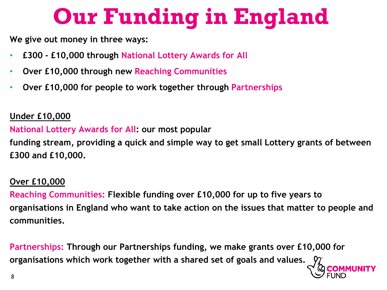## **Our Funding in England**

**We give out money in three ways:**

- **£300 - £10,000 through National Lottery Awards for All**
- **Over £10,000 through new Reaching Communities**
- **Over £10,000 for people to work together through Partnerships**

#### **Under £10,000**

**National Lottery Awards for All: our most popular** 

**funding stream, providing a quick and simple way to get small Lottery grants of between £300 and £10,000.**

#### **Over £10,000**

**Reaching Communities: Flexible funding over £10,000 for up to five years to organisations in England who want to take action on the issues that matter to people and communities.**

**Partnerships: Through our Partnerships funding, we make grants over £10,000 for organisations which work together with a shared set of goals and values.**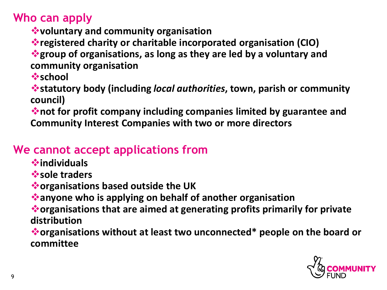**Who can apply**

- ❖**voluntary and community organisation**
- ❖**registered charity or charitable incorporated organisation (CIO)**

❖**group of organisations, as long as they are led by a voluntary and community organisation**

❖**school**

❖**statutory body (including** *local authorities***, town, parish or community council)**

❖**not for profit company including companies limited by guarantee and Community Interest Companies with two or more directors** 

#### **We cannot accept applications from**

- ❖**individuals**
- ❖**sole traders**
- ❖**organisations based outside the UK**
- ❖**anyone who is applying on behalf of another organisation**

❖**organisations that are aimed at generating profits primarily for private distribution**

❖**organisations without at least two unconnected\* people on the board or committee**

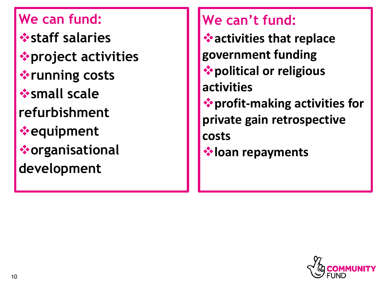**We can fund:** ❖**staff salaries** ❖**project activities** ❖**running costs** ❖**small scale refurbishment** ❖**equipment**  ❖**organisational development**

**We can't fund:**

❖**activities that replace government funding** ❖**political or religious activities** ❖**profit-making activities for private gain retrospective costs**

❖**loan repayments**

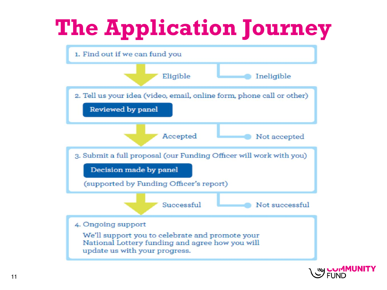## **The Application Journey**



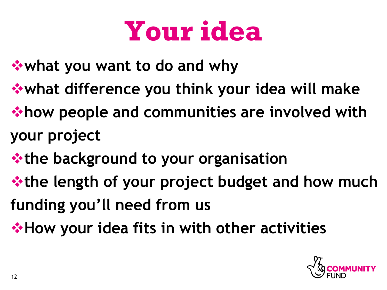## **Your idea**

- ❖**what you want to do and why**
- ❖**what difference you think your idea will make**
- ❖**how people and communities are involved with your project**
- ❖**the background to your organisation**
- ❖**the length of your project budget and how much funding you'll need from us**
- ❖**How your idea fits in with other activities**